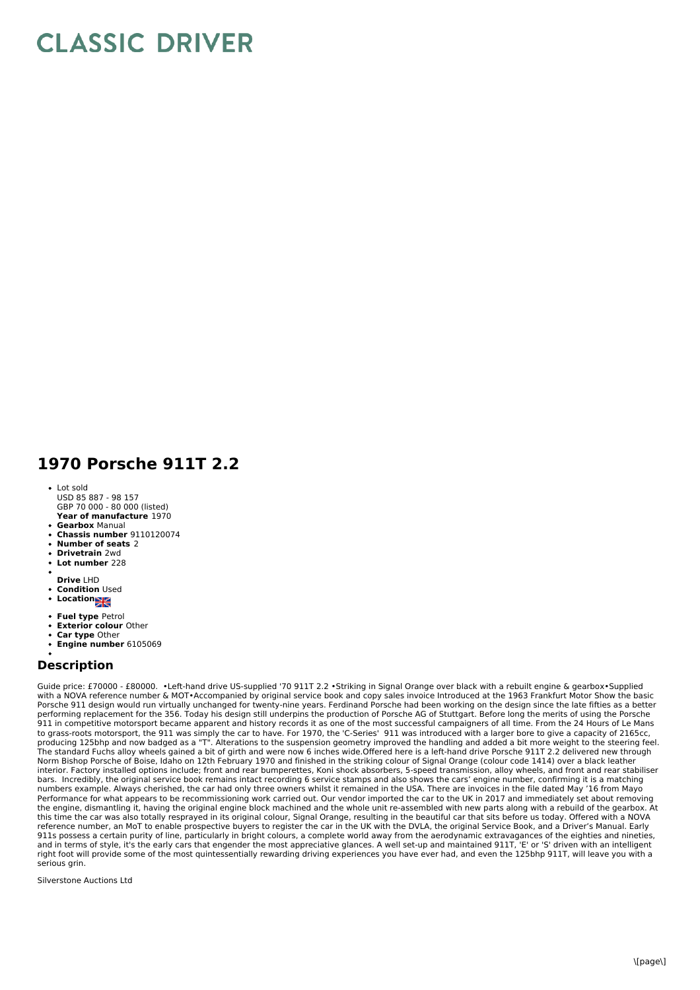## **CLASSIC DRIVER**

## **1970 Porsche 911T 2.2**

- **Year of manufacture** 1970 • Lot sold USD 85 887 - 98 157 GBP 70 000 - 80 000 (listed)
- **Gearbox** Manual
- **Chassis number** 9110120074
- **Number of seats** 2 **Drivetrain** 2wd
- **Lot number** 228
- 
- **Drive** LHD
- **Condition** Used
- Location<sub>al</sub>
- **Fuel type** Petrol
- **Exterior colour** Other **Car type** Other
- **Engine number** 6105069

## **Description**

Guide price: £70000 - £80000. •Left-hand drive US-supplied '70 911T 2.2 •Striking in Signal Orange over black with a rebuilt engine & gearbox•Supplied with a NOVA reference number & MOT•Accompanied by original service book and copy sales invoice Introduced at the 1963 Frankfurt Motor Show the basic<br>Porsche 911 design would run virtually unchanged for twenty-nine years. F performing replacement for the 356. Today his design still underpins the production of Porsche AG of Stuttgart. Before long the merits of using the Porsche<br>911 in competitive motorsport became apparent and history records to grass-roots motorsport, the 911 was simply the car to have. For 1970, the 'C-Series' 911 was introduced with a larger bore to give a capacity of 2165cc, producing 125bhp and now badged as a "T". Alterations to the suspension geometry improved the handling and added a bit more weight to the steering feel. The standard Fuchs alloy wheels gained a bit of girth and were now 6 inches wide.Offered here is a left-hand drive Porsche 911T 2.2 delivered new through Norm Bishop Porsche of Boise, Idaho on 12th February 1970 and finished in the striking colour of Signal Orange (colour code 1414) over a black leather interior. Factory installed options include; front and rear bumperettes, Koni shock absorbers, 5-speed transmission, alloy wheels, and front and rear stabiliser bars. Incredibly, the original service book remains intact recording 6 service stamps and also shows the cars' engine number, confirming it is a matching<br>numbers example. Always cherished, the car had only three owners whi Performance for what appears to be recommissioning work carried out. Our vendor imported the car to the UK in 2017 and immediately set about removing the engine, dismantling it, having the original engine block machined and the whole unit re-assembled with new parts along with a rebuild of the gearbox. At this time the car was also totally resprayed in its original colour, Signal Orange, resulting in the beautiful car that sits before us today. Offered with a NOVA reference number, an MoT to enable prospective buyers to register the car in the UK with the DVLA, the original Service Book, and a Driver's Manual. Early<br>911s possess a certain purity of line, particularly in bright colou and in terms of style, it's the early cars that engender the most appreciative glances. A well set-up and maintained 911T, 'E' or 'S' driven with an intelligent right foot will provide some of the most quintessentially rewarding driving experiences you have ever had, and even the 125bhp 911T, will leave you with a serious grin.

Silverstone Auctions Ltd